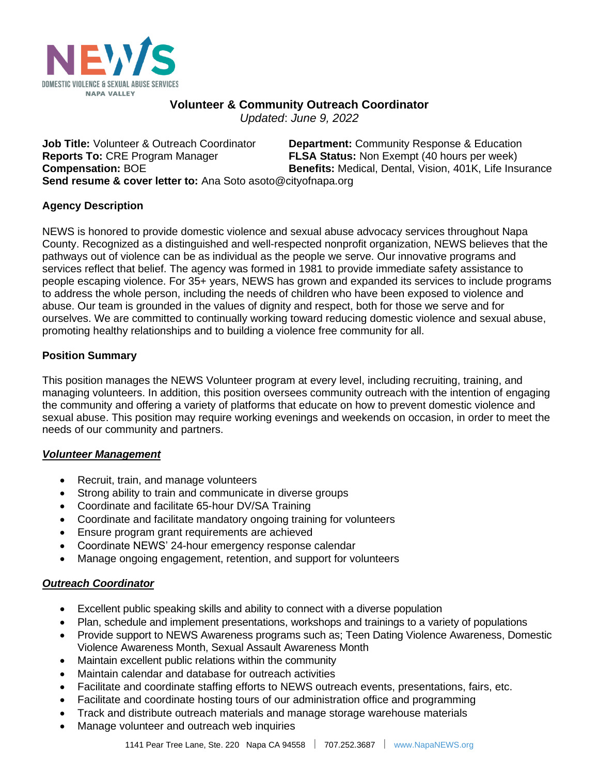

# **Volunteer & Community Outreach Coordinator**

*Updated*: *June 9, 2022*

**Job Title:** Volunteer & Outreach Coordinator **Department:** Community Response & Education **Reports To:** CRE Program Manager **FLSA Status:** Non Exempt (40 hours per week) **Compensation: BOE <b>Benefits:** Medical, Dental, Vision, 401K, Life Insurance **Send resume & cover letter to:** Ana Soto asoto@cityofnapa.org

## **Agency Description**

NEWS is honored to provide domestic violence and sexual abuse advocacy services throughout Napa County. Recognized as a distinguished and well-respected nonprofit organization, NEWS believes that the pathways out of violence can be as individual as the people we serve. Our innovative programs and services reflect that belief. The agency was formed in 1981 to provide immediate safety assistance to people escaping violence. For 35+ years, NEWS has grown and expanded its services to include programs to address the whole person, including the needs of children who have been exposed to violence and abuse. Our team is grounded in the values of dignity and respect, both for those we serve and for ourselves. We are committed to continually working toward reducing domestic violence and sexual abuse, promoting healthy relationships and to building a violence free community for all.

## **Position Summary**

This position manages the NEWS Volunteer program at every level, including recruiting, training, and managing volunteers. In addition, this position oversees community outreach with the intention of engaging the community and offering a variety of platforms that educate on how to prevent domestic violence and sexual abuse. This position may require working evenings and weekends on occasion, in order to meet the needs of our community and partners.

## *Volunteer Management*

- Recruit, train, and manage volunteers
- Strong ability to train and communicate in diverse groups
- Coordinate and facilitate 65-hour DV/SA Training
- Coordinate and facilitate mandatory ongoing training for volunteers
- Ensure program grant requirements are achieved
- Coordinate NEWS' 24-hour emergency response calendar
- Manage ongoing engagement, retention, and support for volunteers

## *Outreach Coordinator*

- Excellent public speaking skills and ability to connect with a diverse population
- Plan, schedule and implement presentations, workshops and trainings to a variety of populations
- Provide support to NEWS Awareness programs such as; Teen Dating Violence Awareness, Domestic Violence Awareness Month, Sexual Assault Awareness Month
- Maintain excellent public relations within the community
- Maintain calendar and database for outreach activities
- Facilitate and coordinate staffing efforts to NEWS outreach events, presentations, fairs, etc.
- Facilitate and coordinate hosting tours of our administration office and programming
- Track and distribute outreach materials and manage storage warehouse materials
- Manage volunteer and outreach web inquiries